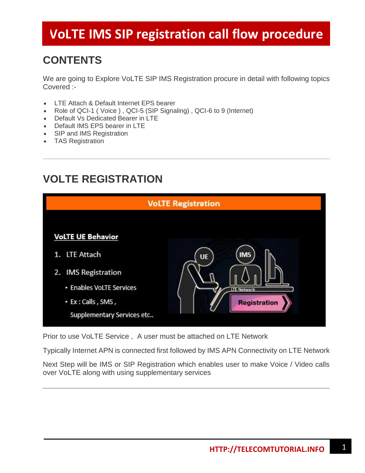#### **CONTENTS**

We are going to Explore VoLTE SIP IMS Registration procure in detail with following topics Covered :-

- LTE Attach & Default Internet EPS bearer
- Role of QCI-1 ( Voice ) , QCI-5 (SIP Signaling) , QCI-6 to 9 (Internet)
- Default Vs Dedicated Bearer in LTE
- Default IMS EPS bearer in LTE
- SIP and IMS Registration
- TAS Registration

#### **VOLTE REGISTRATION**



Prior to use VoLTE Service , A user must be attached on LTE Network

Typically Internet APN is connected first followed by IMS APN Connectivity on LTE Network

Next Step will be IMS or SIP Registration which enables user to make Voice / Video calls over VoLTE along with using supplementary services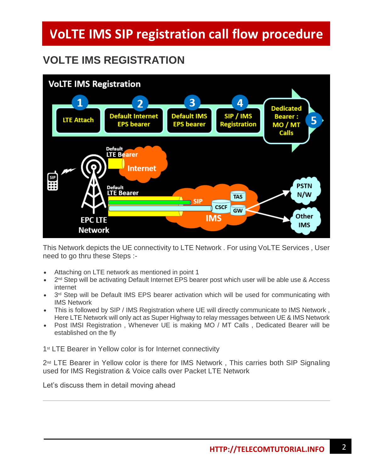### **VOLTE IMS REGISTRATION**



This Network depicts the UE connectivity to LTE Network . For using VoLTE Services , User need to go thru these Steps :-

- Attaching on LTE network as mentioned in point 1
- 2<sup>nd</sup> Step will be activating Default Internet EPS bearer post which user will be able use & Access internet
- 3<sup>rd</sup> Step will be Default IMS EPS bearer activation which will be used for communicating with IMS Network
- This is followed by SIP / IMS Registration where UE will directly communicate to IMS Network , Here LTE Network will only act as Super Highway to relay messages between UE & IMS Network
- Post IMSI Registration, Whenever UE is making MO / MT Calls, Dedicated Bearer will be established on the fly

1<sup>st</sup> LTE Bearer in Yellow color is for Internet connectivity

 $2<sup>nd</sup>$  LTE Bearer in Yellow color is there for IMS Network, This carries both SIP Signaling used for IMS Registration & Voice calls over Packet LTE Network

Let's discuss them in detail moving ahead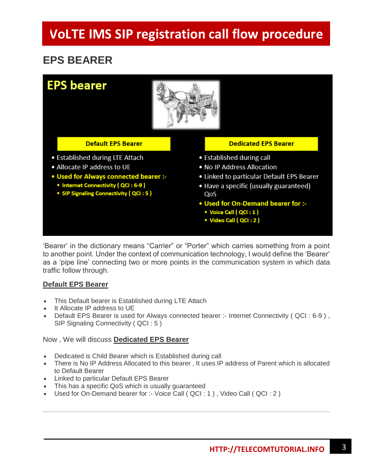#### **EPS BEARER**



'Bearer' in the dictionary means "Carrier" or "Porter" which carries something from a point to another point. Under the context of communication technology, I would define the 'Bearer' as a 'pipe line' connecting two or more points in the communication system in which data traffic follow through.

#### **Default EPS Bearer**

- This Default bearer is Established during LTE Attach
- It Allocate IP address to UE
- Default EPS Bearer is used for Always connected bearer :- Internet Connectivity ( QCI : 6-9 ) , SIP Signaling Connectivity ( QCI : 5 )

#### Now , We will discuss **Dedicated EPS Bearer**

- Dedicated is Child Bearer which is Established during call
- There is No IP Address Allocated to this bearer , It uses IP address of Parent which is allocated to Default Bearer
- Linked to particular Default EPS Bearer
- This has a specific QoS which is usually quaranteed
- Used for On-Demand bearer for :- Voice Call ( QCI : 1 ) , Video Call ( QCI : 2 )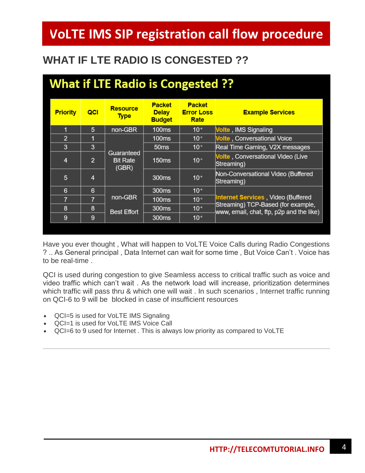### **WHAT IF LTE RADIO IS CONGESTED ??**

| <b>What if LTE Radio is Congested ??</b> |                                        |                                                |                                            |                                                                                                                      |
|------------------------------------------|----------------------------------------|------------------------------------------------|--------------------------------------------|----------------------------------------------------------------------------------------------------------------------|
| QCI                                      | <b>Resource</b><br><b>Type</b>         | <b>Packet</b><br><b>Delay</b><br><b>Budget</b> | <b>Packet</b><br><b>Error Loss</b><br>Rate | <b>Example Services</b>                                                                                              |
| 5                                        | non-GBR                                | <b>100ms</b>                                   | $10^{-6}$                                  | Volte, IMS Signaling                                                                                                 |
| 1                                        | Guaranteed<br><b>Bit Rate</b><br>(GBR) | <b>100ms</b>                                   | $10^{-2}$                                  | <b>Volte, Conversational Voice</b>                                                                                   |
| 3                                        |                                        | 50 <sub>ms</sub>                               | $10^{-3}$                                  | Real Time Gaming, V2X messages                                                                                       |
| $\overline{2}$                           |                                        | <b>150ms</b>                                   | $10^{-3}$                                  | Volte, Conversational Video (Live<br>Streaming)                                                                      |
| 4                                        |                                        | 300 <sub>ms</sub>                              | $10^{-6}$                                  | Non-Conversational Video (Buffered<br>Streaming)                                                                     |
| 6                                        | non-GBR<br><b>Best Effort</b>          | 300 <sub>ms</sub>                              | $10^{-6}$                                  | Internet Services, Video (Buffered<br>Streaming) TCP-Based (for example,<br>www, email, chat, ftp, p2p and the like) |
| 7                                        |                                        | <b>100ms</b>                                   | $10^{-3}$                                  |                                                                                                                      |
| 8                                        |                                        | 300ms                                          | $10^{-6}$                                  |                                                                                                                      |
| 9                                        |                                        | 300 <sub>ms</sub>                              | $10^{-6}$                                  |                                                                                                                      |
|                                          |                                        |                                                |                                            |                                                                                                                      |

Have you ever thought , What will happen to VoLTE Voice Calls during Radio Congestions ? .. As General principal , Data Internet can wait for some time , But Voice Can't . Voice has to be real-time .

QCI is used during congestion to give Seamless access to critical traffic such as voice and video traffic which can't wait . As the network load will increase, prioritization determines which traffic will pass thru & which one will wait . In such scenarios, Internet traffic running on QCI-6 to 9 will be blocked in case of insufficient resources

- QCI=5 is used for VoLTE IMS Signaling
- QCI=1 is used for VoLTE IMS Voice Call
- QCI=6 to 9 used for Internet . This is always low priority as compared to VoLTE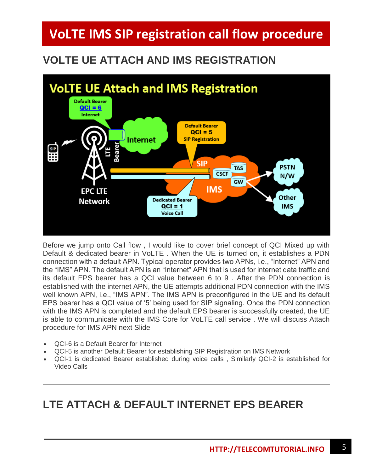### **VOLTE UE ATTACH AND IMS REGISTRATION**



Before we jump onto Call flow , I would like to cover brief concept of QCI Mixed up with Default & dedicated bearer in VoLTE . When the UE is turned on, it establishes a PDN connection with a default APN. Typical operator provides two APNs, i.e., "Internet" APN and the "IMS" APN. The default APN is an "Internet" APN that is used for internet data traffic and its default EPS bearer has a QCI value between 6 to 9 . After the PDN connection is established with the internet APN, the UE attempts additional PDN connection with the IMS well known APN, i.e., "IMS APN". The IMS APN is preconfigured in the UE and its default EPS bearer has a QCI value of '5' being used for SIP signaling. Once the PDN connection with the IMS APN is completed and the default EPS bearer is successfully created, the UE is able to communicate with the IMS Core for VoLTE call service . We will discuss Attach procedure for IMS APN next Slide

- QCI-6 is a Default Bearer for Internet
- QCI-5 is another Default Bearer for establishing SIP Registration on IMS Network
- QCI-1 is dedicated Bearer established during voice calls , Similarly QCI-2 is established for Video Calls

#### **LTE ATTACH & DEFAULT INTERNET EPS BEARER**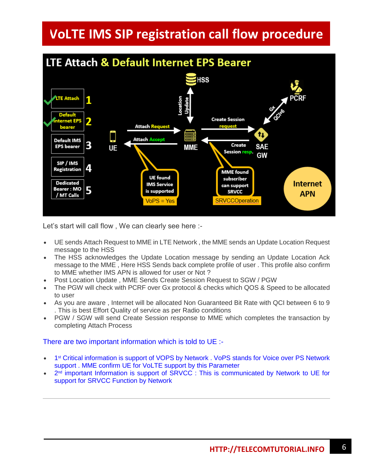

Let's start will call flow, We can clearly see here :-

- UE sends Attach Request to MME in LTE Network , the MME sends an Update Location Request message to the HSS
- The HSS acknowledges the Update Location message by sending an Update Location Ack message to the MME , Here HSS Sends back complete profile of user . This profile also confirm to MME whether IMS APN is allowed for user or Not ?
- Post Location Update , MME Sends Create Session Request to SGW / PGW
- The PGW will check with PCRF over Gx protocol & checks which QOS & Speed to be allocated to user
- As you are aware , Internet will be allocated Non Guaranteed Bit Rate with QCI between 6 to 9 . This is best Effort Quality of service as per Radio conditions
- PGW / SGW will send Create Session response to MME which completes the transaction by completing Attach Process

There are two important information which is told to UE :-

- 1<sup>st</sup> Critical information is support of VOPS by Network . VoPS stands for Voice over PS Network support . MME confirm UE for VoLTE support by this Parameter
- 2<sup>nd</sup> important Information is support of SRVCC : This is communicated by Network to UE for support for SRVCC Function by Network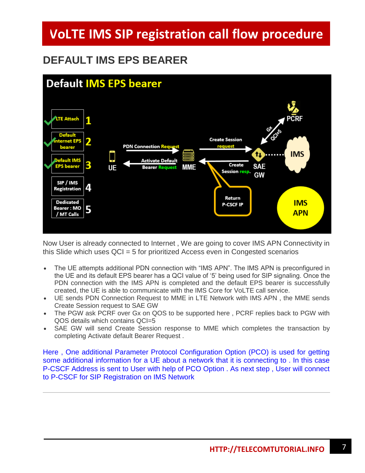#### **DEFAULT IMS EPS BEARER**

![](_page_6_Figure_2.jpeg)

Now User is already connected to Internet , We are going to cover IMS APN Connectivity in this Slide which uses QCI = 5 for prioritized Access even in Congested scenarios

- The UE attempts additional PDN connection with "IMS APN". The IMS APN is preconfigured in the UE and its default EPS bearer has a QCI value of '5' being used for SIP signaling. Once the PDN connection with the IMS APN is completed and the default EPS bearer is successfully created, the UE is able to communicate with the IMS Core for VoLTE call service.
- UE sends PDN Connection Request to MME in LTE Network with IMS APN , the MME sends Create Session request to SAE GW
- The PGW ask PCRF over Gx on QOS to be supported here , PCRF replies back to PGW with QOS details which contains QCI=5
- SAE GW will send Create Session response to MME which completes the transaction by completing Activate default Bearer Request .

Here , One additional Parameter Protocol Configuration Option (PCO) is used for getting some additional information for a UE about a network that it is connecting to . In this case P-CSCF Address is sent to User with help of PCO Option . As next step , User will connect to P-CSCF for SIP Registration on IMS Network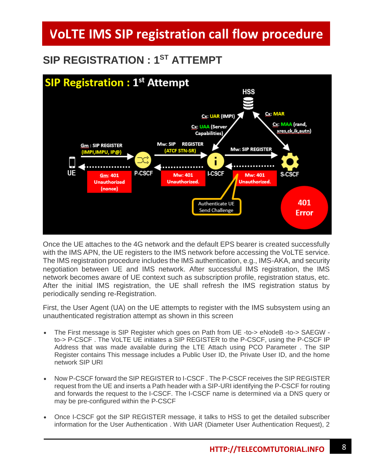### $SP$  REGISTRATION : 1<sup>ST</sup> ATTEMPT

![](_page_7_Figure_2.jpeg)

Once the UE attaches to the 4G network and the default EPS bearer is created successfully with the IMS APN, the UE registers to the IMS network before accessing the VoLTE service. The IMS registration procedure includes the IMS authentication, e.g., IMS-AKA, and security negotiation between UE and IMS network. After successful IMS registration, the IMS network becomes aware of UE context such as subscription profile, registration status, etc. After the initial IMS registration, the UE shall refresh the IMS registration status by periodically sending re-Registration.

First, the User Agent (UA) on the UE attempts to register with the IMS subsystem using an unauthenticated registration attempt as shown in this screen

- The First message is SIP Register which goes on Path from UE -to-> eNodeB -to-> SAEGW to-> P-CSCF . The VoLTE UE initiates a SIP REGISTER to the P-CSCF, using the P-CSCF IP Address that was made available during the LTE Attach using PCO Parameter . The SIP Register contains This message includes a Public User ID, the Private User ID, and the home network SIP URI
- Now P-CSCF forward the SIP REGISTER to I-CSCF . The P-CSCF receives the SIP REGISTER request from the UE and inserts a Path header with a SIP-URI identifying the P-CSCF for routing and forwards the request to the I-CSCF. The I-CSCF name is determined via a DNS query or may be pre-configured within the P-CSCF
- Once I-CSCF got the SIP REGISTER message, it talks to HSS to get the detailed subscriber information for the User Authentication . With UAR (Diameter User Authentication Request), 2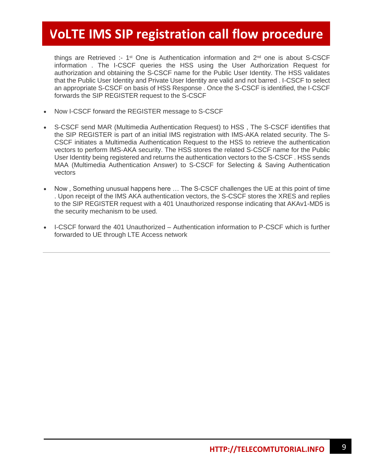things are Retrieved :- 1st One is Authentication information and 2nd one is about S-CSCF information . The I-CSCF queries the HSS using the User Authorization Request for authorization and obtaining the S-CSCF name for the Public User Identity. The HSS validates that the Public User Identity and Private User Identity are valid and not barred . I-CSCF to select an appropriate S-CSCF on basis of HSS Response . Once the S-CSCF is identified, the I-CSCF forwards the SIP REGISTER request to the S-CSCF

- Now I-CSCF forward the REGISTER message to S-CSCF
- S-CSCF send MAR (Multimedia Authentication Request) to HSS , The S-CSCF identifies that the SIP REGISTER is part of an initial IMS registration with IMS-AKA related security. The S-CSCF initiates a Multimedia Authentication Request to the HSS to retrieve the authentication vectors to perform IMS-AKA security. The HSS stores the related S-CSCF name for the Public User Identity being registered and returns the authentication vectors to the S-CSCF . HSS sends MAA (Multimedia Authentication Answer) to S-CSCF for Selecting & Saving Authentication vectors
- Now , Something unusual happens here … The S-CSCF challenges the UE at this point of time . Upon receipt of the IMS AKA authentication vectors, the S-CSCF stores the XRES and replies to the SIP REGISTER request with a 401 Unauthorized response indicating that AKAv1-MD5 is the security mechanism to be used.
- I-CSCF forward the 401 Unauthorized Authentication information to P-CSCF which is further forwarded to UE through LTE Access network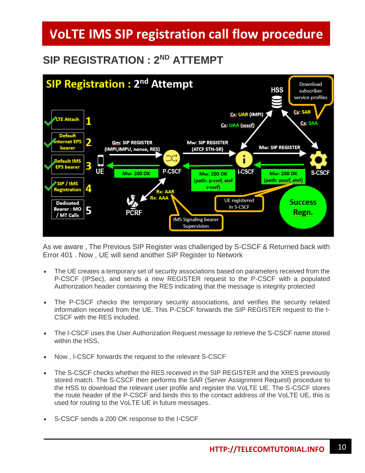#### $SP$  REGISTRATION : 2<sup>ND</sup> ATTEMPT

![](_page_9_Figure_2.jpeg)

As we aware , The Previous SIP Register was challenged by S-CSCF & Returned back with Error 401 . Now , UE will send another SIP Register to Network

- The UE creates a temporary set of security associations based on parameters received from the P-CSCF (IPSec), and sends a new REGISTER request to the P-CSCF with a populated Authorization header containing the RES indicating that the message is integrity protected
- The P-CSCF checks the temporary security associations, and verifies the security related information received from the UE. This P-CSCF forwards the SIP REGISTER request to the I-CSCF with the RES included.
- The I-CSCF uses the User Authorization Request message to retrieve the S-CSCF name stored within the HSS,
- Now , I-CSCF forwards the request to the relevant S-CSCF
- The S-CSCF checks whether the RES received in the SIP REGISTER and the XRES previously stored match. The S-CSCF then performs the SAR (Server Assignment Request) procedure to the HSS to download the relevant user profile and register the VoLTE UE. The S-CSCF stores the route header of the P-CSCF and binds this to the contact address of the VoLTE UE, this is used for routing to the VoLTE UE in future messages.
- S-CSCF sends a 200 OK response to the I-CSCF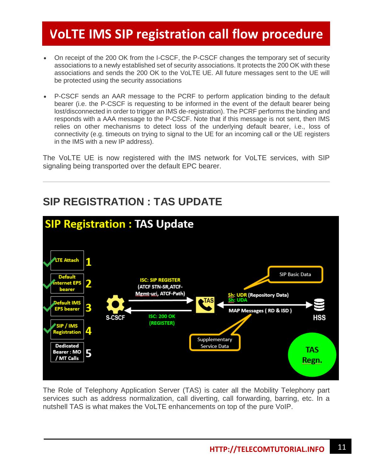- On receipt of the 200 OK from the I-CSCF, the P-CSCF changes the temporary set of security associations to a newly established set of security associations. It protects the 200 OK with these associations and sends the 200 OK to the VoLTE UE. All future messages sent to the UE will be protected using the security associations
- P-CSCF sends an AAR message to the PCRF to perform application binding to the default bearer (i.e. the P-CSCF is requesting to be informed in the event of the default bearer being lost/disconnected in order to trigger an IMS de-registration). The PCRF performs the binding and responds with a AAA message to the P-CSCF. Note that if this message is not sent, then IMS relies on other mechanisms to detect loss of the underlying default bearer, i.e., loss of connectivity (e.g. timeouts on trying to signal to the UE for an incoming call or the UE registers in the IMS with a new IP address).

The VoLTE UE is now registered with the IMS network for VoLTE services, with SIP signaling being transported over the default EPC bearer.

#### **SIP Registration: TAS Update TE Attach** 1 **SIP Basic Data ISC: SIP REGISTER** 2 ernet FP (ATCF STN-SR, ATCF-Mgmt-uri, ATCF-Path) Sh: UDR (Repository Data)<br>Šĥ: UDA fault IMS 3 PS bearer MAP Messages (RD & ISD) **ISC: 200 OK S-CSCF** HSS (REGISTER) SIP / IMS istratior Supplementary **Dedicated** Service Data **TAS** 5 Bearer : MO / MT Calls Regn.

#### **SIP REGISTRATION : TAS UPDATE**

The Role of Telephony Application Server (TAS) is cater all the Mobility Telephony part services such as address normalization, call diverting, call forwarding, barring, etc. In a nutshell TAS is what makes the VoLTE enhancements on top of the pure VoIP.